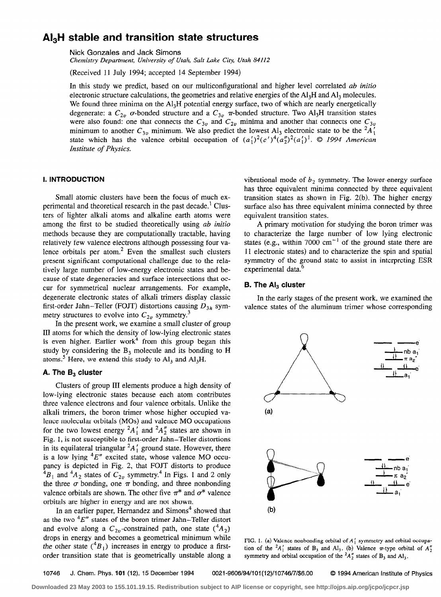# $\text{Al}_3\text{H}$  stable and transition state structures

Nick Gonzales and Jack Simons

Chemistry Department, University of Utah, Salt Lake City, Utah 84112

(Received 11 July 1994; accepted 14 September 1994)

In this study we predict, based on our multiconfigurational and higher level correlated *ab initio* electronic structure calculations, the geometries and relative energies of the Al<sub>3</sub>H and Al<sub>3</sub> molecules. We found three minima on the  $Al<sub>3</sub>H$  potential energy surface, two of which are nearly energetically degenerate: a  $C_{2v}$  o-bonded structure and a  $C_{3v}$   $\pi$ -bonded structure. Two Al<sub>3</sub>H transition states were also found: one that connects the  $C_{3v}$  and  $C_{2v}$  minima and another that connects one  $C_{3v}$  minimum to another  $C_{3v}$  minimum. We also predict the lowest Al<sub>3</sub> electronic state to be the <sup>2</sup>A'<sub>1</sub> state which has the valence orbital occupation of  $(a'_1)^2(e')^4(a''_2)^2(a'_1)^1$ . © 1994 American Institute of Physics.

# I. INTRODUCTION

Small atomic clusters have been the focus of much experimental and theoretical research in the past decade.' Clusters of lighter alkali atoms and alkaline earth atoms were among the first to be studied theoretically using ab initio methods because they are computationally tractable, having relatively few valence electrons although possessing four valence orbitals per atom. $2$  Even the smallest such clusters present significant computational challenge due to the relatively large number of low-energy electronic states and because of state degeneracies and surface intersections that occur for symmetrical nuclear arrangements. For example, degenerate electronic states of alkali trimers display classic first-order Jahn-Teller (FOJT) distortions causing  $D_{3h}$  symmetry structures to evolve into  $C_{2v}$  symmetry.<sup>3</sup>

In the present work, we examine a small cluster of group III atoms for which the density of low-lying electronic states is even higher. Earlier work<sup>4</sup> from this group began this study by considering the  $B_3$  molecule and its bonding to H atoms.<sup>5</sup> Here, we extend this study to  $Al<sub>3</sub>$  and  $Al<sub>3</sub>H$ .

## A. The  $B_3$  cluster

Clusters of group III elements produce a high density of low-lying electronic states because each atom contributes three valence electrons and four valence orbitals. Unlike the alkali trimers, the boron trimer whose higher occupied valence molecular orbitals (MOs) and valence MO occupations for the two lowest energy  ${}^2A_1'$  and  ${}^2A_2''$  states are shown in Fig. 1, is not susceptible to first-order Jahn-Teller distortions in its equilateral triangular  ${}^2A_1$  ground state. However, there is a low lying  ${}^{4}E''$  excited state, whose valence MO occupancy is depicted in Fig. 2, that FOJT distorts to produce  $^{4}B_{1}$  and  $^{4}A_{2}$  states of  $C_{2v}$  symmetry.<sup>4</sup> In Figs. 1 and 2 only the three  $\sigma$  bonding, one  $\pi$  bonding, and three nonbonding valence orbitals are shown. The other five  $\pi^*$  and  $\sigma^*$  valence orbitals are higher in energy and are not shown.

In an earlier paper, Hernandez and  $Simons<sup>4</sup>$  showed that as the two  ${}^{4}E''$  states of the boron trimer Jahn-Teller distort and evolve along a  $C_{2n}$ -constrained path, one state  $({}^4A_2)$ drops in energy and becomes a geometrical minimum while the other state  $({}^4B_1)$  increases in energy to produce a firstorder transition state that is geometrically unstable along a

vibrational mode of  $b_2$  symmetry. The lower-energy surface has three equivalent minima connected by three equivalent transition states as shown in Fig. 2(b). The higher energy surface also has three equivalent minima connected by three equivalent transition states.

A primary motivation for studying the boron trimer was to characterize the large number of low lying electronic states (e.g., within 7000  $cm^{-1}$  of the ground state there are 11 electronic states) and to characterize the spin and spatial symmetry of the ground state to assist in interpreting ESR experimental data.<sup>6</sup>

#### **B. The AI<sub>3</sub> cluster**

In the early stages of the present work, we examined the valence states of the aluminum trimer whose corresponding



FIG. 1. (a) Valence nonbonding orbital of  $A'_1$  symmetry and orbital occupation of the  ${}^2A'_1$  states of B<sub>3</sub> and Al<sub>3</sub>. (b) Valence  $\pi$ -type orbital of  $A''_2$ symmetry and orbital occupation of the  ${}^2A_2''$  states of B<sub>3</sub> and Al<sub>3</sub>.

10746 J. Chem. Phys. 101 (12), 15 December 1994 0021-9606/94/101(12)/10746/7/\$6.00 0 1994 American institute of Physics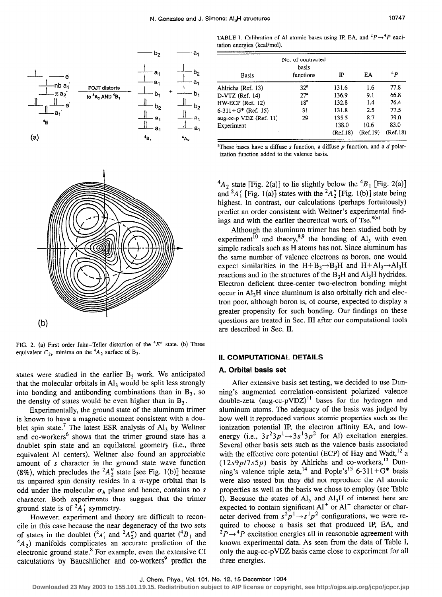

|                        | No. of contracted  |          |          |          |
|------------------------|--------------------|----------|----------|----------|
| Basis                  | basis<br>functions | IP       | EΑ       | 4p       |
| Ahlrichs (Ref. 13)     | 32 <sup>n</sup>    | 131.6    | 1.6      | 77.8     |
| $D-VTZ$ (Ref. 14)      | 27 <sup>a</sup>    | 136.9    | 9.1      | 66.8     |
| HW-ECP (Ref. 12)       | 18 <sup>a</sup>    | 132.8    | 1.4      | 76.4     |
| $6-311+G^*$ (Ref. 15)  | 31                 | 131.8    | 2.5      | 77.5     |
| aug-cc-p VDZ (Ref. 11) | 29                 | 135.5    | 8.7      | 79.0     |
| Experiment             |                    | 138.0    | 10.6     | 83.0     |
|                        |                    | (Ref.18) | (Ref.19) | (Ref.18) |

<sup>a</sup>These bases have a diffuse s function, a diffuse p function, and a  $d$  polarization function added to the valence basis.

 ${}^4A_2$  state [Fig. 2(a)] to lie slightly below the  ${}^4B_1$  [Fig. 2(a)] and  ${}^2A'_1$  [Fig. 1(a)] states with the  ${}^2A''_2$  [Fig. 1(b)] state being highest. In contrast, our calculations (perhaps fortuitously) predict an order consistent with Weltner's experimental findings and with the earlier theoretical work of Tse. $8(a)$ 

Although the aluminum trimer has been studied both by experiment<sup>10</sup> and theory,<sup>8,9</sup> the bonding of Al<sub>3</sub> with even simple radicals such as H atoms has not. Since aluminum has the same number of valence electrons as boron, one would expect similarities in the  $H+B_3\rightarrow B_3H$  and  $H+AI_3\rightarrow AI_3H$ reactions and in the structures of the  $B_3H$  and  $A_3H$  hydrides. Electron deficient three-center two-electron bonding might occur in Al<sub>3</sub>H since aluminum is also orbitally rich and electron poor, although boron is, of course, expected to display a greater propensity for such bonding. Our findings on these questions are treated in Sec. III after our computational tools are described in Sec. II.

#### II. COMPUTATIONAL DETAILS

#### A. Orbital basis set

After extensive basis set testing, we decided to use Dunning's augmented correlation-consistent polarized valence double-zeta (aug-cc-pVDZ)<sup>11</sup> bases for the hydrogen and aluminum atoms. The adequacy of the basis was judged by how well it reproduced various atomic properties such as the ionization potential IP, the electron affinity EA, and lowenergy (i.e.,  $3s^23p^1 \rightarrow 3s^13p^2$  for Al) excitation energies. Several other basis sets such as the valence basis associated with the effective core potential (ECP) of Hay and Wadt,<sup>12</sup> a  $(12s9p/7s5p)$  basis by Ahlrichs and co-workers,<sup>13</sup> Dunning's valence triple zeta,<sup>14</sup> and Pople's<sup>15</sup> 6-311+G<sup>\*</sup> basis were also tested but they did not reproduce the Al atomic properties as well as the basis we chose to employ (see Table I). Because the states of  $Al<sub>3</sub>$  and  $Al<sub>3</sub>H$  of interest here are expected to contain significant Al or Al character or character derived from  $s^2p' \rightarrow s'p^2$  configurations, we were required to choose a basis set that produced IP, EA, and  ${}^{2}P\rightarrow{}^{4}P$  excitation energies all in reasonable agreement with known experimental data. As seen from the data of Table I, only the aug-cc-pVDZ basis came close to experiment for all three energies.



FIG. 2. (a) First order Jahn-Teller distortion of the  $4E''$  state. (b) Three equivalent  $C_{2v}$  minima on the  ${}^4A_2$  surface of B<sub>3</sub>.

states were studied in the earlier  $B_3$  work. We anticipated that the molecular orbitals in  $\mathbf{Al}_3$  would be split less strongly into bonding and antibonding combinations than in  $B_3$ , so the density of states would be even higher than in  $B_3$ .

Experimentally, the ground state of the aluminum trimer is known to have a magnetic moment consistent with a doublet spin state.<sup>7</sup> The latest ESR analysis of  $Al_3$  by Weltner and co-workers<sup>6</sup> shows that the trimer ground state has a doublet spin state and an equilateral geometry (i.e., three equivalent Al centers). Weltner also found an appreciable amount of s character in the ground state wave function (8%), which precludes the  ${}^2A''_2$  state [see Fig. 1(b)] because its unpaired spin density resides in a  $\pi$ -type orbital that is odd under the molecular  $\sigma_h$  plane and hence, contains no s character. Both experiments thus suggest that the trimer ground state is of  ${}^2A_1$ ' symmetry.

However, experiment and theory are difficult to reconcile in this case because the near degeneracy of the two sets of states in the doublet  $({}^2A'_1$  and  ${}^2A''_2$ ) and quartet ( ${}^{\dagger}B_1$  and  $A_2$ ) manifolds complicates an accurate prediction of the electronic ground state. $8$  For example, even the extensive CI calculations by Baucshlicher and co-workers' predict the

**Downloaded 23 May 2003 to 155.101.19.15. Redistribution subject to AIP license or copyright, see http://ojps.aip.org/jcpo/jcpcr.jsp**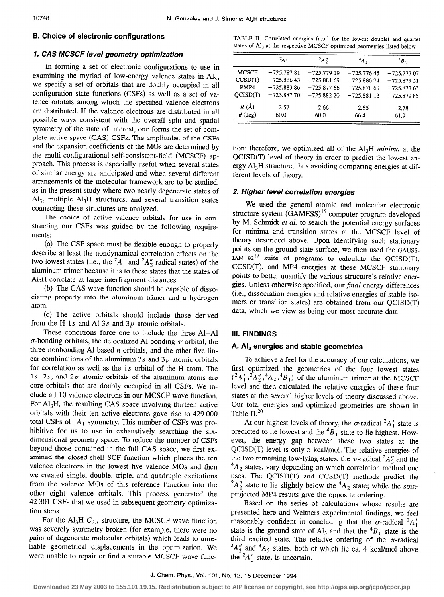# 1. CAS MCSCF level geometry optimization

In forming a set of electronic configurations to use in examining the myriad of low-energy valence states in  $Al<sub>3</sub>$ , we specify a set of orbitals that are doubly occupied in all configuration state functions (CSFs) as well as a set of valence orbitals among which the specified valence electrons are distributed. If the valence electrons are distributed in all possible ways consistent with the overall spin and spatial symmetry of the state of interest, one forms the set of complete active space (CAS) CSFs. The amplitudes of the CSFs and the expansion coefficients of the MOs are determined by the multi-configurational-self-consistent-field (MCSCF) approach. This process is especially useful when several states of similar energy are anticipated and when several different arrangements of the molecular framework are to be studied, as in the present study where two nearly degenerate states of  $Al<sub>3</sub>$ , multiple  $Al<sub>3</sub>H$  structures, and several transition states connecting these structures are analyzed.

The choice of active valence orbitals for use in constructing our CSFs was guided by the following requirements:

(a) The CSF space must be flexible enough to properly describe at least the nondynamical correlation effects on the two lowest states (i.e., the  ${}^2A_1'$  and  ${}^2A_2''$  radical states) of the aluminum trimer because it is to these states that the states of AI,H correlate at large interfragment distances.

(b) The CAS wave function should be capable of dissociating properly into the aluminum trimer and a hydrogen atom.

(c) The active orbitals should include those derived from the H 1s and Al 3s and  $3p$  atomic orbitals.

These conditions force one to include the three Al-Al  $\sigma$ -bonding orbitals, the delocalized Al bonding  $\pi$  orbital, the three nonbonding Al based  $n$  orbitals, and the other five linear combinations of the aluminum  $3s$  and  $3p$  atomic orbitals for correlation as well as the Is orbital of the H atom. The 1s, 2s, and  $2p$  atomic orbitals of the aluminum atoms are core orbitals that are doubly occupied in all CSFs. We include all 10 valence electrons in our MCSCF wave function. For  $Al<sub>3</sub>H$ , the resulting CAS space involving thirteen active orbitals with their ten active electrons gave rise to 429 000 total CSFs of  ${}^{1}A_{1}$  symmetry. This number of CSFs was prohibitive for us to use in exhaustively searching the sixdimensional geometry space. To reduce the number of CSFs beyond those contained in the full CAS space, we first examined the closed-shell SCF function which places the ten valence electrons in the lowest five valence MOs and then we created single, double, triple, and quadruple excitations from the valence MOs of this reference function into the other eight valence orbitals. This process generated the 42 301 CSFs that we used in subsequent geometry optimization steps.

For the Al<sub>3</sub>H  $C_{3v}$  structure, the MCSCF wave function was severely symmetry broken (for example, there were no pairs of degenerate molecular orbitals) which leads to unreliable geometrical displacements in the optimization. We were unable to repair or find a suitable MCSCF wave func-

**B. Choice of electronic configurations** TABLE II. Correlated energies (a.u.) for the lowest doublet and quartet states of Al<sub>3</sub> at the respective MCSCF optimized geometries listed below.

|                | $2_A$        | $A_2''$      | $A_2$        | ${}^4B_1$    |
|----------------|--------------|--------------|--------------|--------------|
|                |              |              |              |              |
| <b>MCSCF</b>   | $-725.78781$ | $-725.77919$ | $-725.77645$ | $-725.77707$ |
| CCSD(T)        | $-725.88643$ | $-725.88169$ | $-725.88074$ | $-725.87951$ |
| PMP4           | $-725.88386$ | $-725.87766$ | $-725.87869$ | $-725.87763$ |
| OCISD(T)       | $-725.88770$ | $-725.88220$ | $-725.88113$ | $-725.87985$ |
| $R(\AA)$       | 2.57         | 2.66         | 2.65         | 2.78         |
| $\theta$ (deg) | 60.0         | 60.0         | 66.4         | 61.9         |

tion; therefore, we optimized all of the Al<sub>3</sub>H minima at the QCISD(T) level of theory in order to predict the lowest energy  $Al<sub>3</sub>H$  structure, thus avoiding comparing energies at different levels of theory.

# 2. Higher level correlation energies

We used the general atomic and molecular electronic structure system (GAMESS)<sup>16</sup> computer program developed by M. Schmidt et al. to search the potential energy surfaces for minima and transition states at the MCSCF level of theory described above. Upon identifying such stationary points on the ground state surface, we then used the GAUSS-IAN  $92^{17}$  suite of programs to calculate the QCISD(T), CCSD(T), and MP4 energies at these MCSCF stationary points to better quantify the various structure's relative energies. Unless otherwise specified, our final energy differences (i.e., dissociation energies and relative energies of stable isomers or transition states) are obtained from our QCISD(T) data, which we view as being our most accurate data.

# III. FINDINGS

#### A.  $Al<sub>3</sub>$  energies and stable geometries

To achieve a feel for the accuracy of our calculations, we first optimized the geometries of the four lowest states  $({}^2A'_1, {}^2A''_2, {}^4A_2, {}^4B_1)$  of the aluminum trimer at the MCSCF level and then calculated the relative energies of these four states at the several higher levels of theory discussed above. Our total energies and optimized geometries are shown in Table  $II.^{20}$ 

At our highest levels of theory, the  $\sigma$ -radical  $^2A'_1$  state is predicted to lie lowest and the  ${}^{4}B_1$  state to lie highest. However, the energy gap between these two states at the QCISD(T) level is only 5 kcal/mol. The relative energies of the two remaining low-lying states, the  $\pi$ -radical  $^{2}A_{2}''$  and the  ${}^{4}A_2$  states, vary depending on which correlation method one uses. The QCISD(T) and CCSD(T) methods predict the  $A''_2$  state to lie slightly below the  ${}^4A_2$  state; while the spinprojected MP4 results give the opposite ordering.

Based on the series of calculations whose results are presented here and Weltners experimental findings, we feel reasonably confident in concluding that the  $\sigma$ -radical  ${}^2A'$ state is the ground state of Al<sub>3</sub> and that the  ${}^{4}B_1$  state is the third excited state. The relative ordering of the  $\pi$ -radical  ${}^2A_2''$  and  ${}^4A_2$  states, both of which lie ca. 4 kcal/mol above the  ${}^2A_1$  state, is uncertain.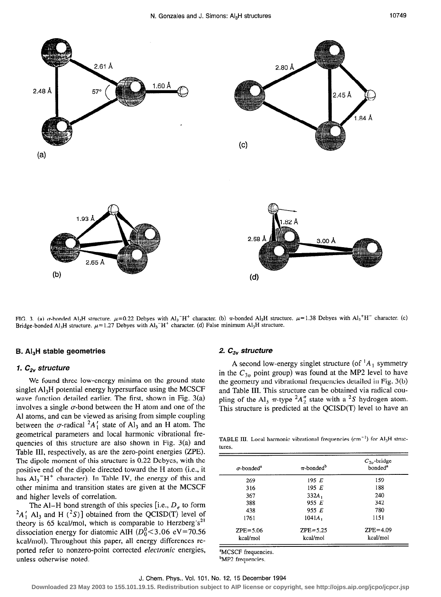

FIG. 3. (a)  $\sigma$ -bonded Al<sub>3</sub>H structure.  $\mu$ =0.22 Debyes with Al<sub>3</sub><sup>+H+</sup> character. (b)  $\pi$ -bonded Al<sub>3</sub>H structure.  $\mu$ =1.38 Debyes with Al<sub>3</sub><sup>+H-</sup> character. (c) Bridge-bonded Al<sub>3</sub>H structure.  $\mu$ =1.27 Debyes with Al<sub>3</sub><sup>-H+</sup> character. (d) False minimum Al<sub>3</sub>H structure.

# B. Al<sub>3</sub>H stable geometries 2.  $C_{3v}$  structure

## 1.  $C_{2v}$  structure

We found three low-energy minima on the ground state singlet Al<sub>3</sub>H potential energy hypersurface using the MCSCF wave function detailed earlier. The first, shown in Fig. 3(a) involves a single  $\sigma$ -bond between the H atom and one of the Al atoms, and can be viewed as arising from simple coupling between the  $\sigma$ -radical  ${}^2A'_1$  state of Al<sub>3</sub> and an H atom. The geometrical parameters and local harmonic vibrational frequencies of this structure are also shown in Fig. 3(a) and Table III. respectively, as are the zero-point energies (ZPE). The dipole moment of this structure is 0.22 Debyes, with the positive end of the dipole directed toward the H atom (i.e., it has  $Al_3^-H^+$  character). In Table IV, the energy of this and other minima and transition states are given at the MCSCF and higher levels of correlation.

The Al-H bond strength of this species [i.e.,  $D_e$  to form  ${}^{2}A'_{1}$  Al<sub>3</sub> and H ( ${}^{2}S$ )] obtained from the QCISD(T) level of theory is 65 kcal/mol, which is comparable to Herzberg's<sup>21</sup> dissociation energy for diatomic AlH  $(D_0^0<3.06 \text{ eV}=70.56$ kcal/mol). Throughout this paper, all energy differences reported refer to nonzero-point corrected electronic energies, unless otherwise noted.

A second low-energy singlet structure (of  ${}^{1}A_{1}$  symmetry in the  $C_{3v}$  point group) was found at the MP2 level to have the geometry and vibrational frequencies detailed in Fig. 3(b) and Table III. This structure can be obtained via radical coupling of the Al<sub>3</sub>  $\pi$ -type <sup>2</sup>A<sup>n</sup><sub>2</sub> state with a <sup>2</sup>S hydrogen atom. This structure is predicted at the QCISD(T) level to have an

TABLE III. Local harmonic vibrational frequencies (cm-') for AI,H structures.

| $\sigma$ -bonded <sup>a</sup> | $\pi$ -bonded <sup>b</sup> | $C_{2v}$ -bridge<br>bonded <sup>a</sup> |
|-------------------------------|----------------------------|-----------------------------------------|
| 269                           | 195 E                      | 159                                     |
| 316                           | 195 E                      | 188                                     |
| 367                           | $332A_1$                   | 240                                     |
| 388                           | 955 E                      | 342                                     |
| 438                           | 955 $E$                    | 780                                     |
| 1761                          | $1041A_1$                  | 1151                                    |
| $ZPE = 5.06$                  | $ZPE = 5.25$               | $ZPE = 4.09$                            |
| kcal/mol                      | kcal/mol                   | kcal/mol                                |

<sup>a</sup>MCSCF frequencies. <sup>b</sup>MP2 frequencies.

#### J. Chem. Phys., Vol. 101, No. 12, 15 December 1994

**Downloaded 23 May 2003 to 155.101.19.15. Redistribution subject to AIP license or copyright, see http://ojps.aip.org/jcpo/jcpcr.jsp**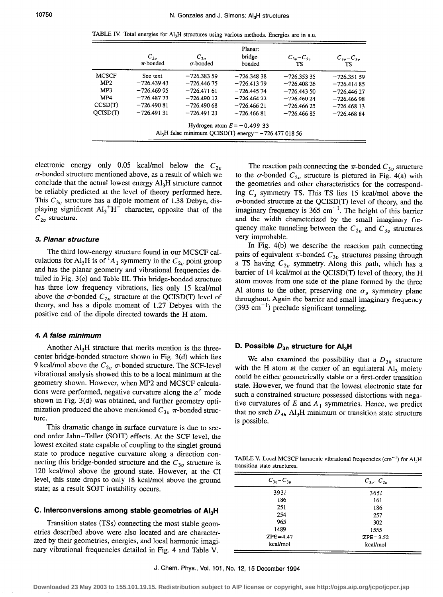TABLE IV. Total energies for  $Al<sub>3</sub>H$  structures using various methods. Energies are in a.u.

|              | $C_{3n}$<br>$\pi$ -bonded | $C_{2n}$<br>$\sigma$ -bonded                                      | Planar:<br>bridge-<br>bonded | $C_{3v}$ – $C_{2v}$<br>TS | $C_{3v} - C_{3v}$<br><b>TS</b> |
|--------------|---------------------------|-------------------------------------------------------------------|------------------------------|---------------------------|--------------------------------|
| <b>MCSCF</b> | See text                  | $-726.38359$                                                      | $-726.34838$                 | $-726.353335$             | $-726.35159$                   |
| MP2          | $-726.43943$              | $-726.44675$                                                      | $-726.41379$                 | $-726.40826$              | $-726.414.85$                  |
| MP3          | $-726.46995$              | $-726.47161$                                                      | $-726.44574$                 | $-726.44350$              | $-726.44627$                   |
| MP4          | $-726.48773$              | $-726.49012$                                                      | $-726.46422$                 | $-726.46024$              | $-726.46698$                   |
| CCSD(T)      | $-726.490.81$             | $-726.49068$                                                      | $-726.46621$                 | $-726.46625$              | $-726.468$ 13                  |
| OCISD(T)     | $-726.49131$              | $-726.49123$                                                      | $-726.46681$                 | $-726.46685$              | $-726.46884$                   |
|              |                           | Al <sub>3</sub> H false minimum QCISD(T) energy $= -726.47701856$ | Hydrogen atom $E = -0.49933$ |                           |                                |

electronic energy only 0.05 kcal/mol below the  $C_{2v}$ a-bonded structure mentioned above, as a result of which we conclude that the actual lowest energy  $Al<sub>3</sub>H$  structure cannot be reliably predicted at the level of theory performed here. This  $C_{3v}$  structure has a dipole moment of 1.38 Debye, displaying significant  $Al_3^+H^-$  character, opposite that of the  $C_{2v}$  structure.

#### 3. Planar structure

The third low-energy structure found in our MCSCF calculations for Al<sub>3</sub>H is of <sup>1</sup>A<sub>1</sub> symmetry in the  $C_{2v}$  point group and has the planar geometry and vibrational frequencies detailed in Fig. 3(c) and Table III. This bridge-bonded structure has three low frequency vibrations, lies only 15 kcal/mol above the  $\sigma$ -bonded  $C_{2n}$  structure at the QCISD(T) level of theory, and has a dipole moment of 1.27 Debyes with the positive end of the dipole directed towards the H atom.

## 4. A false minimum

Another  $Al<sub>3</sub>H$  structure that merits mention is the threecenter bridge-bonded structure shown in Fig. 3(d) which lies 9 kcal/mol above the  $C_{2n}$   $\sigma$ -bonded structure. The SCF-level vibrational analysis showed this to be a local minimum at the geometry shown. However, when MP2 and MCSCF calculations were performed, negative curvature along the  $a'$  mode shown in Fig. 3(d) was obtained, and further geometry optimization produced the above mentioned  $C_{3v}$   $\pi$ -bonded structure.

This dramatic change in surface curvature is due to second order Jahn-Teller (SOJT) effects. At the SCF level, the lowest excited state capable of coupling to the singlet ground state to produce negative curvature along a direction connecting this bridge-bonded structure and the  $C_{3v}$  structure is 120 kcal/mol above the ground state. However, at the CI level, this state drops to only 18 kcal/mol above the ground state; as a result SOJT instability occurs.

#### C. Interconversions among stable geometries of Al<sub>3</sub>H

Transition states (TSs) connecting the most stable geometries described above were also located and are characterized by their geometries, energies, and local harmonic imaginary vibrational frequencies detailed in Fig. 4 and Table V.

The reaction path connecting the  $\pi$ -bonded  $C_{3v}$  structure to the  $\sigma$ -bonded  $C_{2v}$  structure is pictured in Fig. 4(a) with the geometries and other characteristics for the corresponding  $C_s$  symmetry TS. This TS lies 15 kcal/mol above the  $\sigma$ -bonded structure at the QCISD(T) level of theory, and the imaginary frequency is  $365 \text{ cm}^{-1}$ . The height of this barrier and the width characterized by the small imaginary frequency make tunneling between the  $C_{2v}$  and  $C_{3v}$  structures very improbable.

In Fig. 4(b) we describe the reaction path connecting pairs of equivalent  $\pi$ -bonded  $C_{3v}$  structures passing through a TS having  $C_{2n}$  symmetry. Along this path, which has a barrier of 14 kcal/mol at the QCISD(T) level of theory, the H atom moves from one side of the plane formed by the three Al atoms to the other, preserving one  $\sigma_{v}$  symmetry plane throughout. Again the barrier and small imaginary frequency  $(393 \text{ cm}^{-1})$  preclude significant tunneling.

#### D. Possible  $D_{3h}$  structure for AI<sub>3</sub>H

We also examined the possibility that a  $D_{3h}$  structure with the H atom at the center of an equilateral  $Al<sub>3</sub>$  moiety could be either geometrically stable or a first-order transition state. However, we found that the lowest electronic state for such a constrained structure possessed distortions with negative curvatures of  $E$  and  $A_1$  symmetries. Hence, we predict that no such  $D_{3h}$  Al<sub>3</sub>H minimum or transition state structure is possible.

TABLE V. Local MCSCF harmonic vibrational frequencies  $(cm<sup>-1</sup>)$  for  $Al<sub>3</sub>H$ transition state structures.

| $C_{3v} - C_{3v}$ | $C_{3v} - C_{2v}$ |  |
|-------------------|-------------------|--|
| 393i              | 365i              |  |
| 186               | 161               |  |
| 251               | 186               |  |
| 254               | 257               |  |
| 965               | 302               |  |
| 1489              | 1555              |  |
| $ZPE = 4.47$      | $ZPE = 3.52$      |  |
| kcal/mol          | kcal/mol          |  |

J. Chem. Phys., Vol. 101, No. 12, 15 December 1994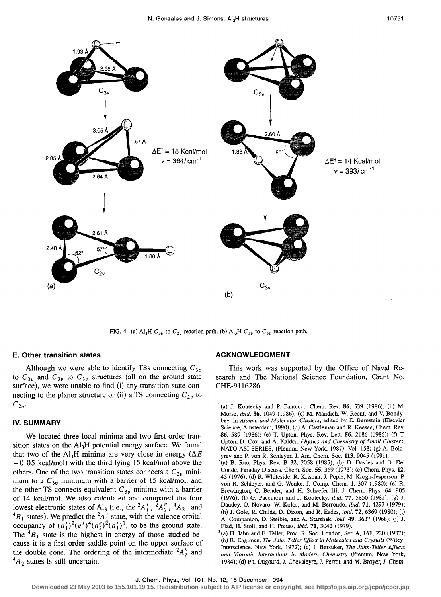

FIG. 4. (a) Al<sub>3</sub>H  $C_{3v}$  to  $C_{2v}$  reaction path. (b) Al<sub>3</sub>H  $C_{3v}$  to  $C_{3v}$  reaction path.

#### E. Other transition states

Although we were able to identify TSs connecting  $C_{3v}$ to  $C_{2v}$  and  $C_{3v}$  to  $C_{3v}$  structures (all on the ground state surface), we were unable to find (i) any transition state connecting to the planer structure or (ii) a TS connecting  $C_{2v}$  to  $C_{2n}$ 

#### IV. SUMMARY

We located three local minima and two first-order transition states on the  $Al<sub>3</sub>H$  potential energy surface. We found that two of the Al<sub>3</sub>H minima are very close in energy ( $\Delta E$ = 0.05 kcal/mol) with the third lying 15 kcal/mol above the others. One of the two transition states connects a  $C_{2v}$  minimum to a  $C_{3v}$  minimum with a barrier of 15 kcal/mol, and the other TS connects equivalent  $C_{3v}$  minima with a barrier of 14 kcal/mol. We also calculated and compared the four lowest electronic states of Al<sub>3</sub> (i.e., the  ${}^2A_1'$ ,  ${}^2A_2''$ ,  ${}^4A_2$ , and  ${}^4B_1$  states). We predict the  ${}^2A_1$  state, with the valence orbital occupancy of  $(a'_1)'(e')^*(a_2'')^2(a_1')^1$ , to be the ground state. The  ${}^{4}B_1$  state is the highest in energy of those studied because it is a first order saddle point on the upper surface of the double cone. The ordering of the intermediate  ${}^2A_2''$  and  $^{4}A_{2}$  states is still uncertain.

## ACKNOWLEDGMENT

This work was supported by the Office of Naval Research and The National Science Foundation, Grant No. CHE-9116286.

- $(1)(a)$  J. Koutecky and P. Fantucci, Chem. Rev. 86, 539 (1986); (b) M. Morse, ibid. 86, 1049 (1986); (c) M. Mandich, W. Reent, and V. Bondybey, in Atomic and Molecular Clusters, edited by E. Bernstein (Elsevier Science, Amsterdam, 1990); (d) A. Castleman and R. Keesee, Chem. Rev. 86, 589 (1986); (e) T. Upton, Phys. Rev. Lett. 56, 2186 (1986); (f) T. Upton, D. Cox, and A. Kaldor, Physics and Chemistry of Small Clusters, NATO ASI SERIES, (Plenum, New York, 1987), Vol. 158; (g) A. Boldyrev and P. von R. Schleyer, J. Am. Chem. Soc. 113, 9045 (1991).
- $2^{2}$ (a) B. Rao, Phys. Rev. B 32, 2058 (1985); (b) D. Davies and D. Del Conde, Faraday Discuss. Chem. Soc. 55, 369 (1973); (c) Chem. Phys. 12, 45 (1976); (d) R. Whiteside, R. Krishan, J. Pople, M. Krogh-Jesperson, P. von R. Schleyer, and G. Wenke, J. Comp. Chem. 1, 307 (1980); (e) R. Brewington, C. Bender, and H. Schaefer III, J. Chem. Phys. 64, 905 (1976); (f) G. Pacchioni and J. Koutecky, ibid. 77, 5850 (1982); (g) J. Daudey, 0. Novaro, W. Kolos, and M. Berrondo, ibid. 71, 4297 (1979); (h) J. Gole, R. Childs, D. Dixon, and R. Eades, ibid. 72, 6369 (1980); (i) A. Companion, D. Steible, and A. Starshak, ibid. 49, 3637 (1968); (j) J. Flad, H. Stoll, and H. Preuss, ibid. 71, 3042 (1979).
- $^{3}$ (a) H. Jahn and E. Teller, Proc. R. Soc. London, Ser. A, 161, 220 (1937); (b) R. Englman, The Jahn Teller Effect in Molecules and Crystals (Wiley-Interscience, New York, 1972); (c) I. Bersuker, The Jahn-Teller Effects and Vibronic Interactions in Modem Chemistry (Plenum, New York, 1984); (d) Ph. Dugourd, J. Chevaleyre, J. Perrot, and M. Broyer, J. Chem.